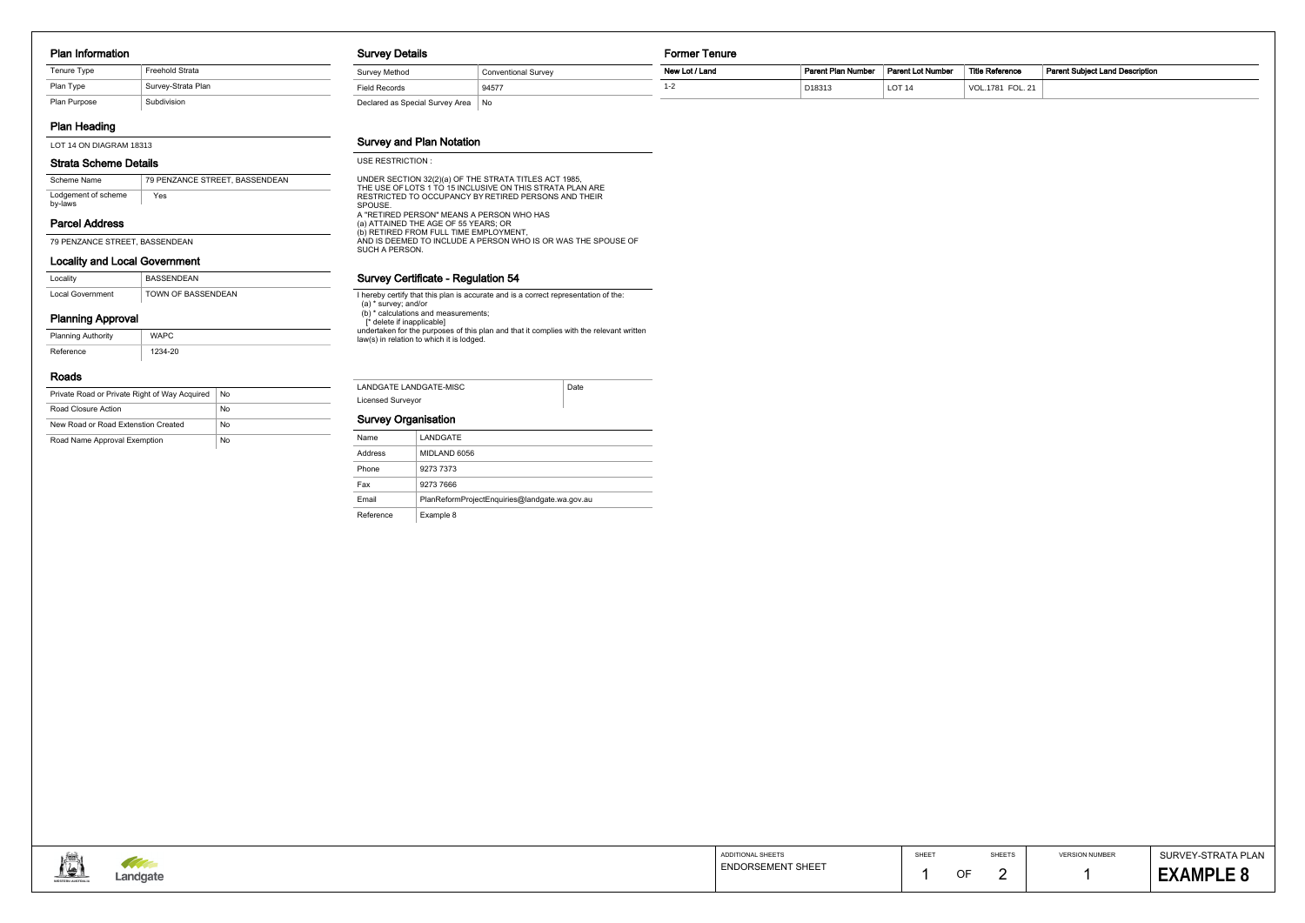### Plan Information

# Plan Heading

### Locality and Local Government

| Locality         | <b>BASSENDEAN</b>  |
|------------------|--------------------|
| Local Government | TOWN OF BASSENDEAN |

### Planning Approval

| <b>Planning Authority</b> | WAPC    |
|---------------------------|---------|
| Reference                 | 1234-20 |

### Roads

| Private Road or Private Right of Way Acquired | No |
|-----------------------------------------------|----|
| Road Closure Action                           | No |
| New Road or Road Extenstion Created           | No |
| Road Name Approval Exemption                  | No |

#### Survey Details

### Survey and Plan Notation

### Survey Certificate - Regulation 54

I hereby certify that this plan is accurate and is a correct representation of the: (a) \* survey; and/or (b) \* calculations and measurements; [\* delete if inapplicable] undertaken for the purposes of this plan and that it complies with the relevant written law(s) in relation to which it is lodged.

| <b>Survey Details</b>           |                     | Former Tenure  |                    |                   |                        |                                        |
|---------------------------------|---------------------|----------------|--------------------|-------------------|------------------------|----------------------------------------|
| Survey Method                   | Conventional Survey | New Lot / Land | Parent Plan Number | Parent Lot Number | <b>Title Reference</b> | <b>Parent Subject Land Description</b> |
| <b>Field Records</b>            | 94577               | 1-2            | D18313             | LOT <sub>14</sub> | VOL.1781 FOL. 21       |                                        |
| Declared as Special Survey Area | No                  |                |                    |                   |                        |                                        |

| LANDGATE LANDGATE-MISC | Date |
|------------------------|------|
| Licensed Surveyor      |      |

## Survey Organisation

SHEET

| Reference     | <b>Parent Subject Land Description</b> |
|---------------|----------------------------------------|
| .1781 FOL. 21 |                                        |

| ۰. |
|----|
|----|

| Name      | LANDGATE                                      |
|-----------|-----------------------------------------------|
| Address   | MIDLAND 6056                                  |
| Phone     | 9273 7373                                     |
| Fax       | 9273 7666                                     |
| Email     | PlanReformProjectEnquiries@landgate.wa.gov.au |
| Reference | Example 8                                     |



SURVEY-STRATA PLAN 8 **EXAMPLE 8**

LOT 14 ON DIAGRAM 18313

| Tenure Type  | Freehold Strata    |
|--------------|--------------------|
| Plan Type    | Survey-Strata Plan |
| Plan Purpose | Subdivision        |

#### USE RESTRICTION :

A "RETIRED PERSON" MEANS A PERSON WHO HAS (a) ATTAINED THE AGE OF 55 YEARS; OR (b) RETIRED FROM FULL TIME EMPLOYMENT, AND IS DEEMED TO INCLUDE A PERSON WHO IS OR WAS THE SPOUSE OF SUCH A PERSON. UNDER SECTION 32(2)(a) OF THE STRATA TITLES ACT 1985, THE USE OF LOTS 1 TO 15 INCLUSIVE ON THIS STRATA PLAN ARE RESTRICTED TO OCCUPANCY BY RETIRED PERSONS AND THEIR SPOUSE.

| Scheme Name                    | 79 PENZANCE STREET, BASSENDEAN |
|--------------------------------|--------------------------------|
| Lodgement of scheme<br>by-laws | Yes                            |

79 PENZANCE STREET, BASSENDEAN

## Parcel Address

### Strata Scheme Details